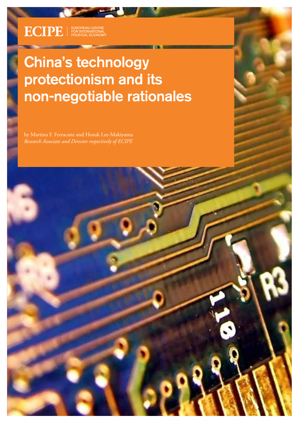$\text{ECIPE}$   $\mid$   $\text{FOR}$  international FOR INTERNATIONAL ECONOMY

÷

# China's technology protectionism and its non-negotiable rationales

by Martina F. Ferracane and Hosuk Lee-Makiyama *Research Associate and Director respectively of ECIPE*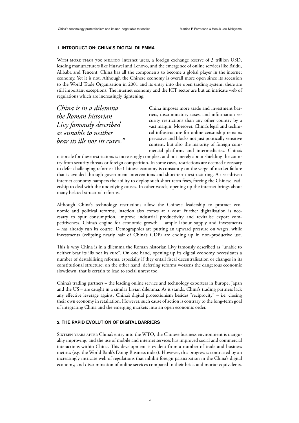# 1. INTRODUCTION: CHINA'S DIGITAL DILEMMA

WITH MORE THAN 700 MILLION internet users, a foreign exchange reserve of 3 trillion USD, leading manufacturers like Huawei and Lenovo, and the emergence of online services like Baidu, Alibaba and Tencent, China has all the components to become a global player in the internet economy. Yet it is not. Although the Chinese economy is overall more open since its accession to the World Trade Organisation in 2001 and its entry into the open trading system, there are still important exceptions: The internet economy and the ICT sector are but an intricate web of regulations which are increasingly tightening.

*China is in a dilemma the Roman historian Livy famously described as «unable to neither bear its ills nor its cure»."*

China imposes more trade and investment barriers, discriminatory taxes, and information security restrictions than any other country by a vast margin. Moreover, China's legal and technical infrastructure for online censorship remains pervasive and blocks not just politically sensitive content, but also the majority of foreign commercial platforms and intermediaries. China's

rationale for these restrictions is increasingly complex, and not merely about shielding the country from security threats or foreign competition. In some cases, restrictions are deemed necessary to defer challenging reforms: The Chinese economy is constantly on the verge of market failure that is avoided through government interventions and short-term restructuring. A user-driven internet economy hampers the ability to deploy such short-term fixes, forcing the Chinese leadership to deal with the underlying causes. In other words, opening up the internet brings about many belated structural reforms.

Although China's technology restrictions allow the Chinese leadership to protract economic and political reforms, inaction also comes at a cost: Further digitalisation is necessary to spur consumption, improve industrial productivity and revitalise export competitiveness. China's engine for economic growth – ample labour supply and investments – has already run its course. Demographics are putting an upward pressure on wages, while investments (eclipsing nearly half of China's GDP) are ending up in non-productive use.

This is why China is in a dilemma the Roman historian Livy famously described as "unable to neither bear its ills nor its cure". On one hand, opening up its digital economy necessitates a number of destabilising reforms, especially if they entail fiscal decentralisation or changes in its constitutional structure; on the other hand, deferring reforms worsens the dangerous economic slowdown, that is certain to lead to social unrest too.

China's trading partners – the leading online service and technology exporters in Europe, Japan and the US – are caught in a similar Livian dilemma: As it stands, China's trading partners lack any effective leverage against China's digital protectionism besides "reciprocity" – i.e. closing their own economy in retaliation. However, such cause of action is contrary to the long-term goal of integrating China and the emerging markets into an open economic order.

# 2. THE RAPID EVOLUTION OF DIGITAL BARRIERS

Sixteen years after China's entry into the WTO, the Chinese business environment is inarguably improving, and the use of mobile and internet services has improved social and commercial interactions within China. This development is evident from a number of trade and business metrics (e.g. the World Bank's Doing Business index). However, this progress is contrasted by an increasingly intricate web of regulations that inhibit foreign participation in the China's digital economy, and discrimination of online services compared to their brick and mortar equivalents.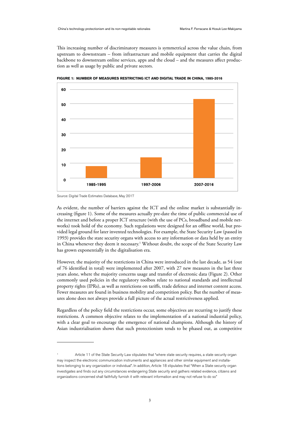This increasing number of discriminatory measures is symmetrical across the value chain, from upstream to downstream – from infrastructure and mobile equipment that carries the digital backbone to downstream online services, apps and the cloud – and the measures affect production as well as usage by public and private sectors.



**FIGURE 1: NUMBER OF MEASURES RESTRICTING ICT AND DIGITAL TRADE IN CHINA, 1985-2016**

As evident, the number of barriers against the ICT and the online market is substantially increasing (figure 1). Some of the measures actually pre-date the time of public commercial use of the internet and before a proper ICT structure (with the use of PCs, broadband and mobile networks) took hold of the economy. Such regulations were designed for an offline world, but provided legal ground for later invented technologies. For example, the State Security Law (passed in 1993) provides the state security organs with access to any information or data held by an entity in China whenever they deem it necessary.<sup>1</sup> Without doubt, the scope of the State Security Law has grown exponentially in the digitalisation era.

However, the majority of the restrictions in China were introduced in the last decade, as 54 (out of 76 identified in total) were implemented after 2007, with 27 new measures in the last three years alone, where the majority concerns usage and transfer of electronic data (Figure 2). Other commonly used policies in the regulatory toolbox relate to national standards and intellectual property rights (IPRs), as well as restrictions on tariffs, trade defence and internet content access. Fewer measures are found in business mobility and competition policy. But the number of measures alone does not always provide a full picture of the actual restrictiveness applied.

Regardless of the policy field the restrictions occur, some objectives are recurring to justify these restrictions. A common objective relates to the implementation of a national industrial policy, with a clear goal to encourage the emergence of national champions. Although the history of Asian industrialisation shows that such protectionism tends to be phased out, as competitive

Source: Digital Trade Estimates Database, May 2017

Article 11 of the State Security Law stipulates that "where state security requires, a state security organ may inspect the electronic communication instruments and appliances and other similar equipment and installations belonging to any organization or individual". In addition, Article 18 stipulates that "When a State security organ investigates and finds out any circumstances endangering State security and gathers related evidence, citizens and organizations concerned shall faithfully furnish it with relevant information and may not refuse to do so"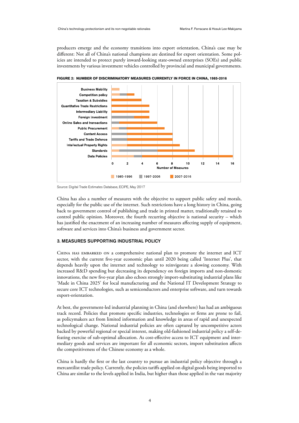producers emerge and the economy transitions into export orientation, China's case may be different: Not all of China's national champions are destined for export orientation. Some policies are intended to protect purely inward-looking state-owned enterprises (SOEs) and public investments by various investment vehicles controlled by provincial and municipal governments.



**FIGURE 2: NUMBER OF DISCRIMINATORY MEASURES CURRENTLY IN FORCE IN CHINA, 1985-2016**

China has also a number of measures with the objective to support public safety and morals, especially for the public use of the internet. Such restrictions have a long history in China, going back to government control of publishing and trade in printed matter, traditionally retained to control public opinion. Moreover, the fourth recurring objective is national security – which has justified the enactment of an increasing number of measures affecting supply of equipment, software and services into China's business and government sector.

#### 3. MEASURES SUPPORTING INDUSTRIAL POLICY

CHINA HAS EMBARKED ON a comprehensive national plan to promote the internet and ICT sector, with the current five-year economic plan until 2020 being called 'Internet Plus', that depends heavily upon the internet and technology to reinvigorate a slowing economy. With increased R&D spending but decreasing its dependency on foreign imports and non-domestic innovations, the new five-year plan also echoes strongly import-substituting industrial plans like 'Made in China 2025' for local manufacturing and the National IT Development Strategy to secure core ICT technologies, such as semiconductors and enterprise software, and turn towards export-orientation.

At best, the government-led industrial planning in China (and elsewhere) has had an ambiguous track record. Policies that promote specific industries, technologies or firms are prone to fail, as policymakers act from limited information and knowledge in areas of rapid and unexpected technological change. National industrial policies are often captured by uncompetitive actors backed by powerful regional or special interest, making old-fashioned industrial policy a self-defeating exercise of sub-optimal allocation. As cost-effective access to ICT equipment and intermediary goods and services are important for all economic sectors, import substitution affects the competitiveness of the Chinese economy as a whole.

China is hardly the first or the last country to pursue an industrial policy objective through a mercantilist trade policy. Currently, the policies tariffs applied on digital goods being imported to China are similar to the levels applied in India, but higher than those applied in the vast majority

Source: Digital Trade Estimates Database, ECIPE, May 2017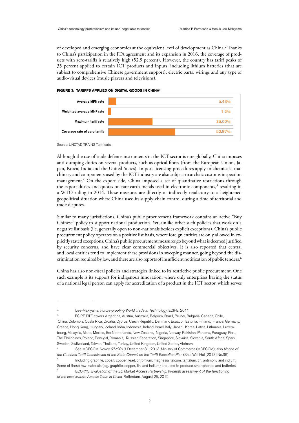of developed and emerging economies at the equivalent level of development as China.<sup>2</sup> Thanks to China's participation in the ITA agreement and its expansion in 2016, the coverage of products with zero-tariffs is relatively high (52.9 percent). However, the country has tariff peaks of 35 percent applied to certain ICT products and inputs, including lithium batteries (that are subject to comprehensive Chinese government support), electric parts, wirings and any type of audio-visual devices (music players and televisions).





Source: UNCTAD TRAINS Tariff data

Although the use of trade defence instruments in the ICT sector is rare globally, China imposes anti-dumping duties on several products, such as optical fibres (from the European Union, Japan, Korea, India and the United States). Import licensing procedures apply to chemicals, machinery and components used by the ICT industry are also subject to archaic customs inspection management. 4 On the export side, China imposed a set of quantitative restrictions through the export duties and quotas on rare earth metals used in electronic components,<sup>5</sup> resulting in a WTO ruling in 2014. These measures are directly or indirectly retaliatory to a heightened geopolitical situation where China used its supply-chain control during a time of territorial and trade disputes.

Similar to many jurisdictions, China's public procurement framework contains an active "Buy Chinese" policy to support national production. Yet, unlike other such policies that work on a negative list basis (i.e. generally open to non-nationals besides explicit exceptions), China's public procurement policy operates on a positive list basis, where foreign entities are only allowed in explicitly stated exceptions. China's public procurement measures go beyond what is deemed justified by security concerns, and have clear commercial objectives. It is also reported that central and local entities tend to implement these provisions in sweeping manner, going beyond the discrimination required by law, and there are also reports of insufficient notification of public tenders.6

China has also non-fiscal policies and strategies linked to its restrictive public procurement. One such example is its support for indigenous innovation, where only enterprises having the status of a national legal person can apply for accreditation of a product in the ICT sector, which serves

<sup>2.</sup> . Lee-Makiyama, Future-proofing World Trade in Technology, ECIPE, 2011

ECIPE DTE covers Argentina, Austria, Australia, Belgium, Brazil, Brunei, Bulgaria, Canada, Chile, China, Colombia, Costa Rica, Croatia, Cyprus, Czech Republic, Denmark, Ecuador, Estonia, Finland, France, Germany, Greece, Hong Kong, Hungary, Iceland, India, Indonesia, Ireland, Israel, Italy, Japan, Korea, Latvia, Lithuania, Luxembourg, Malaysia, Malta, Mexico, the Netherlands, New Zealand, Nigeria, Norway, Pakistan, Panama, Paraguay, Peru, The Philippines, Poland, Portugal, Romania, Russian Federation, Singapore, Slovakia, Slovenia, South Africa, Spain, Sweden, Switzerland, Taiwan, Thailand, Turkey, United Kingdom, United States, Vietnam.

<sup>4.</sup> . See MOFCOM Notice 97/2013. December 31, 2013. Ministry of Commerce (MOFCOM); also Notice of

the Customs Tariff Commission of the State Council on the Tariff Execution Plan (Shui Wei Hui [2013] No.36) 5. . Including graphite, cobalt, copper, lead, chromium, magnesia, talcum, tantalum, tin, antimony and indium.

Some of these raw materials (e.g. graphite, copper, tin, and indium) are used to produce smartphones and batteries. 6. . ECORYS, Evaluation of the EC Market Access Partnership. In-depth assessment of the functioning

of the local Market Access Team in China, Rotterdam, August 25, 2012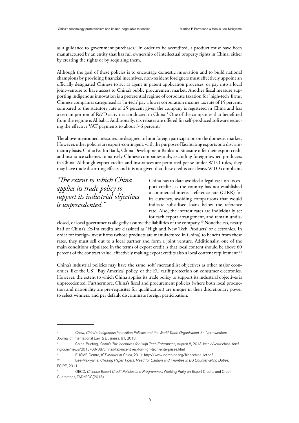as a guidance to government purchases. 7 In order to be accredited, a product must have been manufactured by an entity that has full ownership of intellectual property rights in China, either by creating the rights or by acquiring them.

Although the goal of these policies is to encourage domestic innovation and to build national champions by providing financial incentives, non-resident foreigners must effectively appoint an officially designated Chinese to act as agent in patent application processes, or pay into a local joint-venture to have access to China's public procurement market. Another fiscal measure supporting indigenous innovation is a preferential regime of corporate taxation for 'high-tech' firms. Chinese companies categorised as 'hi-tech' pay a lower corporation income tax rate of 15 percent, compared to the statutory rate of 25 percent given the company is registered in China and has a certain portion of R&D activities conducted in China. 8 One of the companies that benefitted from the regime is Alibaba. Additionally, tax rebates are offered for self-produced software reducing the effective VAT payments to about 3-6 percent. 9

The above-mentioned measures are designed to limit foreign participation on the domestic market. However, other policies are export-contingent, with the purpose of facilitating exports on a discriminatory basis. China Ex-Im Bank, China Development Bank and Sinosure offer their export credit and insurance schemes to natively Chinese companies only, excluding foreign-owned producers in China. Although export credits and insurances are permitted per se under WTO rules, they may have trade distorting effects and it is not given that these credits are always WTO compliant.

*"The extent to which China applies its trade policy to support its industrial objectives is unprecedented."*

China has to date avoided a legal case on its export credits, as the country has not established a commercial interest reference rate (CIRR) for its currency, avoiding comparisons that would indicate subsidised loans below the reference rate. Also, the interest rates are individually set for each export arrangement, and remain undis-

closed, or local governments allegedly assume the liabilities of the company. 10 Nonetheless, nearly half of China's Ex-Im credits are classified as 'High and New Tech Products' or electronics. In order for foreign-invest firms (whose products are manufactured in China) to benefit from these rates, they must sell out to a local partner and form a joint venture. Additionally, one of the main conditions stipulated in the terms of export credit is that local content should be above 60 percent of the contract value, effectively making export credits also a local content requirement.<sup>11</sup>

China's industrial policies may have the same 'soft' mercantilist objectives as other major economies, like the US' "Buy America" policy, or the EU tariff protection on consumer electronics. However, the extent to which China applies its trade policy to support its industrial objectives is unprecedented. Furthermore, China's fiscal and procurement policies (where both local production and nationality are pre-requisites for qualification) are unique in their discretionary power to select winners, and per default discriminate foreign participation.

<sup>7</sup> . Chow, China's Indigenous Innovation Policies and the World Trade Organization, 34 Northwestern Journal of International Law & Business. 81, 2013

<sup>8</sup> . China-Briefing, China's Tax Incentives for High-Tech Enterprises, August 8, 2013: http://www.china-briefing.com/news/2013/08/08/chinas-tax-incentives-for-high-tech-enterprises.html

<sup>9</sup> . EUSME Centre, ICT Market in China, 2011: http://www.iberchina.org/files/china\_ict.pdf

<sup>10</sup> . Lee-Makiyama, Chasing Paper Tigers: Need for Caution and Priorities in EU Countervailing Duties, ECIPE, 2011

<sup>11</sup> . OECD, Chinese Export Credit Policies and Programmes, Working Party on Export Credits and Credit Guarantees, TAD/ECG(2015)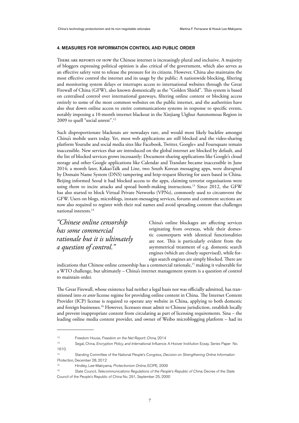# 4. MEASURES FOR INFORMATION CONTROL AND PUBLIC ORDER

THERE ARE REPORTS OF HOW the Chinese internet is increasingly plural and inclusive. A majority of bloggers expressing political opinion is also critical of the government, which also serves as an effective safety vent to release the pressure for its citizens. However, China also maintains the most effective control the internet and its usage by the public: A nationwide blocking, filtering and monitoring system delays or interrupts access to international websites through the Great Firewall of China (GFW), also known domestically as the "Golden Shield". This system is based on centralised control over international gateways, filtering online content or blocking access entirely to some of the most common websites on the public internet, and the authorities have also shut down online access to entire communications systems in response to specific events, notably imposing a 10-month internet blackout in the Xinjiang Uighur Autonomous Region in 2009 to quell "social unrest". 12

Such disproportionate blackouts are nowadays rare, and would most likely backfire amongst China's mobile users today. Yet, most web applications are still blocked and the video-sharing platform Youtube and social media sites like Facebook, Twitter, Google+ and Foursquare remain inaccessible. New services that are introduced on the global internet are blocked by default, and the list of blocked services grows incessantly: Document-sharing applications like Google's cloud storage and other Google applications like Calendar and Translate became inaccessible in June 2014; a month later, KakaoTalk and Line, two South Korean messaging apps, were disrupted by Domain Name System (DNS) tampering and http-request filtering for users based in China. Beijing informed Seoul it had blocked access to the apps, claiming terrorist organisations were using them to incite attacks and spread bomb-making instructions. 13 Since 2012, the GFW has also started to block Virtual Private Networks (VPNs), commonly used to circumvent the GFW. Users on blogs, microblogs, instant-messaging services, forums and comment sections are now also required to register with their real names and avoid spreading content that challenges national interests. 14

*"Chinese online censorship has some commercial rationale but it is ultimately a question of control."*

China's online blockages are affecting services originating from overseas, while their domestic counterparts with identical functionalities are not. This is particularly evident from the asymmetrical treatment of e.g. domestic search engines (which are closely supervised), while foreign search engines are simply blocked. There are

indications that Chinese online censorship has a commercial rationale, 15 making it vulnerable for a WTO challenge, but ultimately – China's internet management system is a question of control to maintain order.

The Great Firewall, whose existence had neither a legal basis nor was officially admitted, has transitioned into *ex ante* license regime for providing online content in China. The Internet Content Provider (ICP) license is required to operate any website in China, applying to both domestic and foreign businesses. 16 However, licensees must admit to Chinese jurisdiction, establish locally and prevent inappropriate content from circulating as part of licensing requirements. Sina – the leading online media content provider, and owner of Weibo microblogging platform – had its

<sup>12..</sup> Freedom House, Freedom on the Net Report: China, 2014

<sup>13.</sup> Segal, China, Encryption Policy, and International Influence. A Hoover Institution Essay. Series Paper No. 1610.

Standing Committee of the National People's Congress, Decision on Strengthening Online Information Protection, December 28, 2012

Hindley, Lee-Makiyama, Protectionism Online, ECIPE, 2009

State Council, Telecommunications Regulations of the People's Republic of China. Decree of the State Council of the People's Republic of China No. 291, September 25, 2000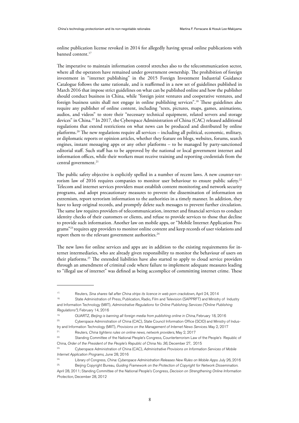online publication license revoked in 2014 for allegedly having spread online publications with banned content. 17

The imperative to maintain information control stretches also to the telecommunication sector, where all the operators have remained under government ownership. The prohibition of foreign investment in "internet publishing" in the 2015 Foreign Investment Industrial Guidance Catalogue follows the same rationale, and is reaffirmed in a new set of guidelines published in March 2016 that impose strict guidelines on what can be published online and how the publisher should conduct business in China, while "foreign joint ventures and cooperative ventures, and foreign business units shall not engage in online publishing services". 18 These guidelines also require any publisher of online content, including "texts, pictures, maps, games, animations, audios, and videos" to store their "necessary technical equipment, related servers and storage devices" in China. 19 In 2017, the Cyberspace Administration of China (CAC) released additional regulations that extend restrictions on what news can be produced and distributed by online platforms. 20 The new regulations require all services – including all political, economic, military, or diplomatic reports or opinion articles, whether they feature on blogs, websites, forums, search engines, instant messaging apps or any other platforms – to be managed by party-sanctioned editorial staff. Such staff has to be approved by the national or local government internet and information offices, while their workers must receive training and reporting credentials from the central government. 21

The public safety objective is explicitly spelled in a number of recent laws. A new counter-terrorism law of 2016 requires companies to monitor user behaviour to ensure public safety.<sup>22</sup> Telecom and internet services providers must establish content monitoring and network security programs, and adopt precautionary measures to prevent the dissemination of information on extremism, report terrorism information to the authorities in a timely manner. In addition, they have to keep original records, and promptly delete such messages to prevent further circulation. The same law requires providers of telecommunication, internet and financial services to conduct identity checks of their customers or clients, and refuse to provide services to those that decline to provide such information. Another law on mobile apps, or "Mobile Internet Application Programs"23 requires app providers to monitor online content and keep records of user violations and report them to the relevant government authorities. 24

The new laws for online services and apps are in addition to the existing requirements for internet intermediaries, who are already given responsibility to monitor the behaviour of users on their platforms. 25 The extended liabilities have also started to apply to cloud service providers through an amendment of criminal code where failure to implement adequate measures leading to "illegal use of internet" was defined as being accomplice of committing internet crime. These

<sup>17.</sup> Reuters, Sina shares fall after China strips its licence in web porn crackdown, April 24, 2014

<sup>18.</sup> State Administration of Press, Publication, Radio, Film and Television (SAPPRFT) and Ministry of Industry and Information Technology (MIIT), Administrative Regulations for Online Publishing Services ("Online Publishing Regulations"), February 14, 2016

<sup>&</sup>lt;sup>19.</sup> QUARTZ, Beijing is banning all foreign media from publishing online in China, February 18, 2016

<sup>20.</sup> Cyberspace Administration of China (CAC), State Council Information Office (SCIO) and Ministry of Indus-

try and Information Technology (MIIT), Provisions on the Management of Internet News Services. May 2, 2017

<sup>&</sup>lt;sup>21.</sup> Reuters, *China tightens rules on online news, network providers*, May 2, 2017<br><sup>22.</sup> Stepding Committee of the National People's Congress Counterterration Law 22. Standing Committee of the National People's Congress, Counterterrorism Law of the People's Republic of

China, Order of the President of the People's Republic of China No. 36, December 27, 2015

<sup>&</sup>lt;sup>23.</sup> Cyberspace Administration of China (CAC), Administrative Provisions on Information Services of Mobile Internet Application Programs, June 28, 2016

<sup>&</sup>lt;sup>24.</sup> Library of Congress, China: Cyberspace Administration Releases New Rules on Mobile Apps. July 26, 2016

<sup>&</sup>lt;sup>25.</sup> Beijing Copyright Bureau, Guiding Framework on the Protection of Copyright for Network Dissemination. April 28, 2011; Standing Committee of the National People's Congress, Decision on Strengthening Online Information Protection, December 28, 2012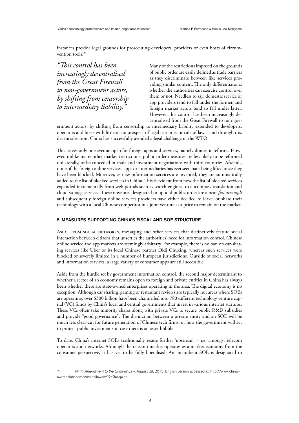instances provide legal grounds for prosecuting developers, providers or even hosts of circumvention tools. 26

*"This control has been increasingly decentralised from the Great Firewall to non-government actors, by shifting from censorship to intermediary liability."*

Many of the restrictions imposed on the grounds of public order are easily defined as trade barriers as they discriminate between like services providing similar content. The only differentiator is whether the authorities can exercise control over them or not. Needless to say, domestic service or app providers tend to fall under the former, and foreign market actors tend to fall under latter. However, this control has been increasingly decentralised from the Great Firewall to non-gov-

ernment actors, by shifting from censorship to intermediary liability extended to developers, operators and hosts with little or no prospect of legal certainty or rule of law – and through this decentralisation, China has successfully avoided a legal challenge in the WTO.

This leaves only one avenue open for foreign apps and services, namely domestic reforms. However, unlike many other market restrictions, public order measures are less likely to be reformed unilaterally, or be conceded in trade and investment negotiations with third countries. After all, none of the foreign online services, apps or intermediaries has ever seen bans being lifted once they have been blocked. Moreover, as new information services are invented, they are automatically added to the list of blocked services in China. This is evident from how the list of blocked services expanded incrementally from web portals such as search engines, to encompass translation and cloud storage services. These measures designated to uphold public order are a near *fait accompli* and subsequently foreign online services providers have either decided to leave, or share their technology with a local Chinese competitor in a joint venture as a price to remain on the market.

#### 5. MEASURES SUPPORTING CHINA'S FISCAL AND SOE STRUCTURE

Aside from social networks, messaging and other services that distinctively feature social interaction between citizens that unsettles the authorities' need for information control, Chinese online service and app markets are seemingly arbitrary. For example, there is no ban on car-sharing services like Uber or its local Chinese partner Didi Chuxing, whereas such services were blocked or severely limited in a number of European jurisdictions. Outside of social networks and information services, a large variety of consumer apps are still accessible.

Aside from the hurdle set by government information control, the second major determinant to whether a sector of an economy remains open to foreign and private entities in China has always been whether there are state-owned enterprises operating in the area. The digital economy is no exception. Although car sharing, gaming or restaurant reviews are typically not areas where SOEs are operating, over \$300 billion have been channelled into 780 different technology venture capital (VC) funds by China's local and central governments that invest in various internet startups. These VCs often take minority shares along with private VCs to secure public R&D subsidies and provide "good governance". The distinction between a private entity and an SOE will be much less clear-cut for future generation of Chinese tech firms, or how the government will act to protect public investments in case there is an asset bubble.

To date, China's internet SOEs traditionally reside further 'upstream' – i.e. amongst telecom operators and networks. Although the telecom market operates as a market economy from the consumer perspective, it has yet to be fully liberalised. An incumbent SOE is designated to

<sup>26.</sup> Ninth Amendment to the Criminal Law, August 29, 2015; English version accessed at: http://www.chinalawtranslate.com/criminallawam92/?lang=en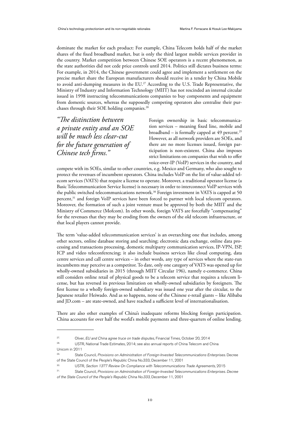dominate the market for each product: For example, China Telecom holds half of the market shares of the fixed broadband market, but is only the third largest mobile services provider in the country. Market competition between Chinese SOE operators is a recent phenomenon, as the state authorities did not cede price controls until 2014. Politics still dictates business terms: For example, in 2014, the Chinese government could agree and implement a settlement on the precise market share the European manufacturers should receive in a tender by China Mobile to avoid anti-dumping measures in the EU.<sup>27</sup> According to the U.S. Trade Representative, the Ministry of Industry and Information Technology (MIIT) has not rescinded an internal circular issued in 1998 instructing telecommunications companies to buy components and equipment from domestic sources, whereas the supposedly competing operators also centralise their purchases through their SOE holding companies. 28

*"The distinction between a private entity and an SOE will be much less clear-cut for the future generation of Chinese tech firms."*

Foreign ownership in basic telecommunication services – meaning fixed line, mobile and broadband – is formally capped at 49 percent. 29 However, as all network providers are SOEs, and there are no more licenses issued, foreign participation is non-existent. China also imposes strict limitations on companies that wish to offer voice-over-IP (VoIP) services in the country, and

compete with its SOEs, similar to other countries, e.g. Mexico and Germany, who also sought to protect the revenues of incumbent operators. China includes VoIP on the list of value-added telecom services (VATS) that require a license to operate. Moreover, a traditional operator license (a Basic Telecommunication Service license) is necessary in order to interconnect VoIP services with the public switched telecommunications network. 30 Foreign investment in VATS is capped at 50 percent, <sup>31</sup> and foreign VoIP services have been forced to partner with local telecom operators. Moreover, the formation of such a joint venture must be approved by both the MIIT and the Ministry of Commerce (Mofcom). In other words, foreign VATS are forcefully "compensating" for the revenues that they may be eroding from the owners of the old telecom infrastructure, or that local players cannot provide.

The term 'value-added telecommunication services' is an overarching one that includes, among other sectors, online database storing and searching; electronic data exchange, online data processing and transactions processing, domestic multiparty communication services, IP-VPN, ISP, ICP and video teleconferencing; it also include business services like cloud computing, data centre services and call centre services – in other words, any type of services where the state-run incumbents may perceive as a competitor. To date, only one category of VATS was opened up for wholly-owned subsidiaries in 2015 (through MIIT Circular 196), namely e-commerce. China still considers online retail of physical goods to be a telecom service that requires a telecom license, but has reversed its previous limitation on wholly-owned subsidiaries by foreigners. The first license to a wholly foreign-owned subsidiary was issued one year after the circular, to the Japanese retailer Heiwado. And as so happens, none of the Chinese e-retail giants – like Alibaba and JD.com – are state-owned, and have reached a sufficient level of internationalisation.

There are also other examples of China's inadequate reforms blocking foreign participation. China accounts for over half the world's mobile payments and three-quarters of online lending.

 $27.$  Oliver, EU and China agree truce on trade disputes, Financial Times, October 20, 2014

USTR, National Trade Estimates, 2014; see also annual reports of China Telecom and China Unicom in 2011

<sup>&</sup>lt;sup>29.</sup> State Council, Provisions on Administration of Foreign-Invested Telecommunications Enterprises. Decree of the State Council of the People's Republic China No.333, December 11, 2001

<sup>30.</sup> USTR, Section 1377 Review On Compliance with Telecommunications Trade Agreements, 2015

<sup>31.</sup> State Council, Provisions on Administration of Foreign-Invested Telecommunications Enterprises. Decree of the State Council of the People's Republic China No.333, December 11, 2001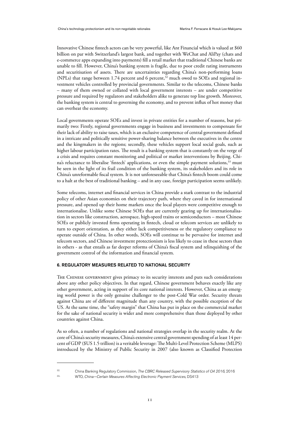Innovative Chinese fintech actors can be very powerful, like Ant Financial which is valued at \$60 billion on par with Switzerland's largest bank, and together with WeChat and AliPay (chats and e-commerce apps expanding into payments) fill a retail market that traditional Chinese banks are unable to fill. However, China's banking system is fragile, due to poor credit rating instruments and securitisation of assets. There are uncertainties regarding China's non-performing loans (NPLs) that range between 1.74 percent and 6 percent,<sup>32</sup> much owed to SOEs and regional investment vehicles controlled by provincial governments. Similar to the telecoms, Chinese banks – many of them owned or collated with local government interests – are under competitive pressure and required by regulators and stakeholders alike to generate top line growth. Moreover, the banking system is central to governing the economy, and to prevent influx of hot money that can overheat the economy.

Local governments operate SOEs and invest in private entities for a number of reasons, but primarily two: Firstly, regional governments engage in business and investments to compensate for their lack of ability to raise taxes, which is an exclusive competence of central government defined in a intricate and politically sensitive power-sharing balance between the executives in the centre and the kingmakers in the regions; secondly, these vehicles support local social goals, such as higher labour participation rates. The result is a banking system that is constantly on the verge of a crisis and requires constant monitoring and political or market interventions by Beijing. China's reluctance to liberalise 'fintech' applications, or even the simple payment solutions,<sup>33</sup> must be seen in the light of its frail condition of the banking system, its stakeholders and its role in China's unreformable fiscal system. It is not unforeseeable that China's fintech boom could come to a halt at the best of traditional banking – and in any case, foreign participation seems unlikely.

Some telecoms, internet and financial services in China provide a stark contrast to the industrial policy of other Asian economies on their trajectory path, where they caved in for international pressure, and opened up their home markets once the local players were competitive enough to internationalise. Unlike some Chinese SOEs that are currently gearing up for internationalisation in sectors like construction, aerospace, high-speed trains or semiconductors – most Chinese SOEs or publicly invested firms operating in fintech, cloud or telecom services are unlikely to turn to export orientation, as they either lack competitiveness or the regulatory compliance to operate outside of China. In other words, SOEs will continue to be pervasive for internet and telecom sectors, and Chinese investment protectionism is less likely to cease in these sectors than in others - as that entails as far deeper reforms of China's fiscal system and relinquishing of the government control of the information and financial system.

## 6. REGULATORY MEASURES RELATED TO NATIONAL SECURITY

THE CHINESE GOVERNMENT gives primacy to its security interests and puts such considerations above any other policy objectives. In that regard, Chinese government behaves exactly like any other government, acting in support of its core national interests. However, China as an emerging world power is the only genuine challenger to the post-Cold War order. Security threats against China are of different magnitude than any country, with the possible exception of the US. At the same time, the "safety margin" that China has put in place on the commercial market for the sake of national security is wider and more comprehensive than those deployed by other countries against China.

As so often, a number of regulations and national strategies overlap in the security realm. At the core of China's security measures, China's extensive central government spending of at least 14 percent of GDP (\$US 1.5 trillion) is a veritable leverage: The Multi-Level Protection Scheme (MLPS) introduced by the Ministry of Public Security in 2007 (also known as Classified Protection

<sup>&</sup>lt;sup>32.</sup> China Banking Regulatory Commission, The CBRC Released Supervisory Statistics of Q4 2016, 2016

<sup>33..</sup> WTO, China—Certain Measures Affecting Electronic Payment Services, DS413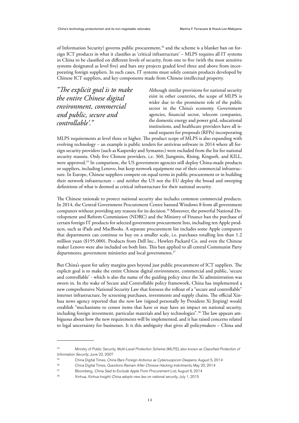of Information Security) governs public procurement, 34 and the scheme is a blanket ban on foreign ICT products in what it classifies as 'critical infrastructure' – MLPS requires all IT systems in China to be classified on different levels of security, from one to five (with the most sensitive systems designated as level five) and bars any projects graded level three and above from incorporating foreign suppliers. In such cases, IT systems must solely contain products developed by Chinese ICT suppliers, and key components made from Chinese intellectual property.

*"The explicit goal is to make the entire Chinese digital environment, commercial and public, secure and controllable'."*

Although similar provisions for national security exist in other countries, the scope of MLPS is wider due to the prominent role of the public sector in the China's economy. Government agencies, financial sector, telecom companies, the domestic energy and power grid, educational institutions, and healthcare providers have all issued requests for proposals (RFPs) incorporating

MLPS requirements at level three or higher. The product scope of MLPS is also expanding with evolving technology – an example is public tenders for antivirus software in 2014 where all foreign security providers (such as Kaspersky and Symantec) were excluded from the list for national security reasons. Only five Chinese providers, i.e. 360, Jiangmin, Rising, Kingsoft, and KILL, were approved. 35 In comparison, the US government agencies still deploy China-made products or suppliers, including Lenovo, but keep network equipment out of their commercial infrastructure. In Europe, Chinese suppliers compete on equal terms in public procurement or in building their network infrastructure – and neither the US nor the EU deploy the broad and sweeping definitions of what is deemed as critical infrastructure for their national security.

The Chinese rationale to protect national security also includes common commercial products. In 2014, the Central Government Procurement Centre banned Windows 8 from all government computers without providing any reasons for its decision.36 Moreover, the powerful National Development and Reform Commission (NDRC) and the Ministry of Finance ban the purchase of certain foreign IT products for selected government procurement lists, including ten Apple products, such as iPads and MacBooks. A separate procurement list includes some Apple computers that departments can continue to buy on a smaller scale, i.e. purchases totalling less than 1.2 million yuan (\$195,000). Products from Dell Inc., Hewlett-Packard Co. and even the Chinese maker Lenovo were also included on both lists. This ban applied to all central Communist Party departments, government ministries and local governments. 37

But China's quest for safety margins goes beyond just public procurement of ICT suppliers. The explicit goal is to make the entire Chinese digital environment, commercial and public, 'secure and controllable' - which is also the name of the guiding policy since the Xi administration was sworn in. In the wake of Secure and Controllable policy framework, China has implemented a new comprehensive National Security Law that foresees the rollout of a "secure and controllable" internet infrastructure, by screening purchases, investments and supply chains. The official Xinhua news agency reported that the new law (signed personally by President Xi Jinping) would establish "mechanisms to censor items that have or may have an impact on national security, including foreign investment, particular materials and key technologies". 38 The law appears ambiguous about how the new requirements will be implemented, and it has raised concerns related to legal uncertainty for businesses. It is this ambiguity that gives all policymakers – China and

<sup>34.</sup> Ministry of Public Security, Multi-Level Protection Scheme (MLPS), also known as Classified Protection of Information Security, June 22, 2007

<sup>&</sup>lt;sup>35.</sup> China Digital Times, China Bars Foreign Antivirus as Cybersuspicion Deepens. August 5, 2014

<sup>&</sup>lt;sup>36.</sup> China Digital Times, Questions Remain After Chinese Hacking Indictments, May 20, 2014

<sup>&</sup>lt;sup>37.</sup> Bloomberg, *China Said to Exclude Apple From Procurement List*, August 6, 2014

<sup>38.</sup> Xinhua, Xinhua Insight: China adopts new law on national security, July 1, 2015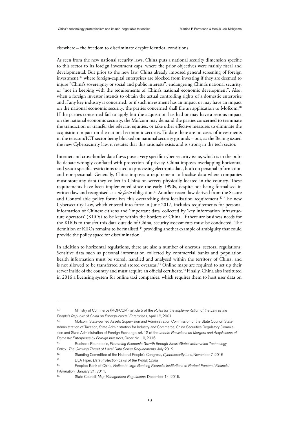elsewhere – the freedom to discriminate despite identical conditions.

As seen from the new national security laws, China puts a national security dimension specific to this sector to its foreign investment caps, where the prior objectives were mainly fiscal and developmental. But prior to the new law, China already imposed general screening of foreign investment, 39 where foreign-capital enterprises are blocked from investing if they are deemed to injure "China's sovereignty or social and public interests", endangering China's national security, or "not in keeping with the requirements of China's national economic development". Also, when a foreign investor intends to obtain the actual controlling rights of a domestic enterprise and if any key industry is concerned, or if such investment has an impact or may have an impact on the national economic security, the parties concerned shall file an application to Mofcom. 40 If the parties concerned fail to apply but the acquisition has had or may have a serious impact on the national economic security, the Mofcom may demand the parties concerned to terminate the transaction or transfer the relevant equities, or take other effective measures to eliminate the acquisition impact on the national economic security. To date there are no cases of investments in the telecom/ICT sector being blocked on national security grounds – but, as the Beijing issued the new Cybersecurity law, it restates that this rationale exists and is strong in the tech sector.

Internet and cross-border data flows pose a very specific cyber security issue, which is in the public debate wrongly conflated with protection of privacy. China imposes overlapping horizontal and sector specific restrictions related to processing electronic data, both on personal information and non-personal. Generally, China imposes a requirement to localise data where companies must store any data they collect in China on servers physically located in the country. These requirements have been implemented since the early 1990s, despite not being formalised in written law and recognised as a *de facto* obligation. 41 Another recent law derived from the Secure and Controllable policy formalises this overarching data localisation requirement. 42 The new Cybersecurity Law, which entered into force in June 2017, includes requirements for personal information of Chinese citizens and 'important data' collected by 'key information infrastructure operators' (KIIOs) to be kept within the borders of China. If there are business needs for the KIIOs to transfer this data outside of China, security assessments must be conducted. The definition of KIIOs remains to be finalised, 43 providing another example of ambiguity that could provide the policy space for discrimination.

In addition to horizontal regulations, there are also a number of onerous, sectoral regulations: Sensitive data such as personal information collected by commercial banks and population health information must be stored, handled and analysed within the territory of China, and is not allowed to be transferred and stored overseas.<sup>44</sup> Online maps are required to set up their server inside of the country and must acquire an official certificate. 45 Finally, China also instituted in 2016 a licensing system for online taxi companies, which requires them to host user data on

Ministry of Commerce (MOFCOM), article 5 of the Rules for the Implementation of the Law of the People's Republic of China on Foreign-capital Enterprises, April 12, 2001

Mofcom, State-owned Assets Supervision and Administration Commission of the State Council, State Administration of Taxation, State Administration for Industry and Commerce, China Securities Regulatory Commission and State Administration of Foreign Exchange, art. 12 of the Interim Provisions on Mergers and Acquisitions of Domestic Enterprises by Foreign Investors, Order No. 10, 2016

<sup>&</sup>lt;sup>41.</sup> Business Roundtable, Promoting Economic Growth through Smart Global Information Technology Policy. The Growing Threat of Local Data Server Requirements. July 2012

Standing Committee of the National People's Congress, Cybersecurity Law, November 7, 2016

<sup>43.</sup> DLA Piper, Data Protection Laws of the World: China

<sup>44.</sup> People's Bank of China, Notice to Urge Banking Financial Institutions to Protect Personal Financial Information, January 21, 2011.

State Council, Map Management Regulations, December 14, 2015.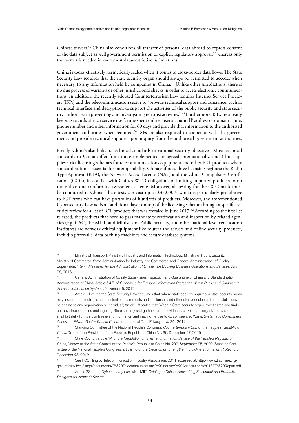Chinese servers.46 China also conditions all transfer of personal data abroad to express consent of the data subject as well government permission or explicit regulatory approval, 47 whereas only the former is needed in even most data-restrictive jurisdictions.

China is today effectively hermetically sealed when it comes to cross-border data flows. The State Security Law requires that the state security organ should always be permitted to accede, when necessary, to any information held by companies in China. 48 Unlike other jurisdictions, there is no due process of warrants or other jurisdictional checks in order to access electronic communications. In addition, the recently adopted Counterterrorism Law requires Internet Service Providers (ISPs) and the telecommunication sector to "provide technical support and assistance, such as technical interface and decryption, to support the activities of the public security and state security authorities in preventing and investigating terrorist activities".<sup>49</sup> Furthermore, ISPs are already keeping records of each service user's time spent online, user account, IP address or domain name, phone number and other information for 60 days and provide that information to the authorised government authorities when required. 50 ISPs are also required to cooperate with the government and provide technical support upon inquiry from the authorised government authorities.

Finally, China's also links its technical standards to national security objectives. Most technical standards in China differ from those implemented or agreed internationally, and China applies strict licensing schemes for telecommunications equipment and other ICT products where standardisation is essential for interoperability. China enforces three licensing regimes: the Radio Type Approval (RTA), the Network Access License (NAL) and the China Compulsory Certification (CCC), in conflict with China's WTO obligations of limiting imported products to no more than one conformity assessment scheme. Moreover, all testing for the CCC mark must be conducted in China. These tests can cost up to  $$35,000<sup>51</sup>$  which is particularly prohibitive to ICT firms who can have portfolios of hundreds of products. Moreover, the aforementioned Cybersecurity Law adds an additional layer on top of the licensing scheme through a specific security review for a list of ICT products that was revealed in June 2017.<sup>52</sup> According to the first list released, the products that need to pass mandatory certification and inspection by related agencies (e.g. CAC, the MIIT, and Ministry of Public Security, and other national-level certification institutes) are network critical equipment like routers and servers and online security products, including firewalls, data back-up machines and secure database systems.

<sup>46.</sup> Ministry of Transport, Ministry of Industry and Information Technology, Ministry of Public Security, Ministry of Commerce, State Administration for Industry and Commerce, and General Administration of Quality Supervision, Interim Measures for the Administration of Online Taxi Booking Business Operations and Services, July 28, 2016

<sup>47.</sup> General Administration of Quality Supervision, Inspection and Quarantine of China and Standardization Administration of China, Article 5.4.5. of Guidelines for Personal Information Protection Within Public and Commercial Services Information Systems, November 5, 2012

Article 11 of the the State Security Law stipulates that 'where state security requires, a state security organ may inspect the electronic communication instruments and appliances and other similar equipment and installations belonging to any organization or individual'; Article 18 states that 'When a State security organ investigates and finds out any circumstances endangering State security and gathers related evidence, citizens and organizations concerned shall faithfully furnish it with relevant information and may not refuse to do so'; see also Wang, Systematic Government Access to Private-Sector Data in China, International Data Privacy Law, 2/4 2012

Standing Committee of the National People's Congress, Counterterrorism Law of the People's Republic of China. Order of the President of the People's Republic of China No. 36. December 27, 2015

State Council, article 14 of the Regulation on Internet Information Service of the People's Republic of China, Decree of the State Council of the People's Republic of China No. 292. September 25, 2000; Standing Committee of the National People's Congress, article 10 of the Decision on Strengthening Online Information Protection, December 28, 2012

<sup>51.</sup> See FCC filing by Telecommunication Industry Association, 2011 accessed at: http://www.tiaonline.org/ gov\_affairs/fcc\_filings/documents/P%20Telecommunications%20Industry%20Association%201377%20Report.pdf Article 23 of the Cybersecurity Law; also, MIIT, Catalogue Critical Networking Equipment and Products

Designed for Network Security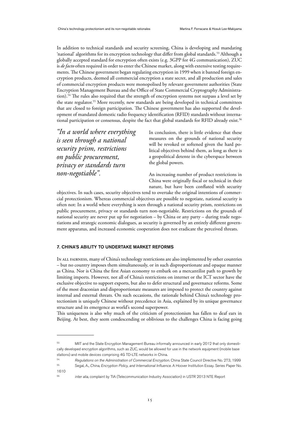In addition to technical standards and security screening, China is developing and mandating 'national' algorithms for its encryption technology that differ from global standards. 53 Although a globally accepted standard for encryption often exists (e.g. 3GPP for 4G communication), ZUC is *de facto* often required in order to enter the Chinese market, along with extensive testing requirements. The Chinese government began regulating encryption in 1999 when it banned foreign encryption products, deemed all commercial encryption a state secret, and all production and sales of commercial encryption products were monopolised by relevant government authorities (State Encryption Management Bureau and the Office of State Commercial Cryptography Administration). 54 The rules also required that the strength of encryption systems not surpass a level set by the state regulator.<sup>55</sup> More recently, new standards are being developed in technical committees that are closed to foreign participation. The Chinese government has also supported the development of mandated domestic radio frequency identification (RFID) standards without international participation or consensus, despite the fact that global standards for RFID already exist.<sup>56</sup>

*"In a world where everything is seen through a national security prism, restrictions on public procurement, privacy or standards turn non-negotiable".*

In conclusion, there is little evidence that these measures on the grounds of national security will be revoked or softened given the hard political objectives behind them, as long as there is a geopolitical detente in the cyberspace between the global powers.

An increasing number of product restrictions in China were originally fiscal or technical in their nature, but have been conflated with security

objectives. In such cases, security objectives tend to overtake the original intentions of commercial protectionism. Whereas commercial objectives are possible to negotiate, national security is often not: In a world where everything is seen through a national security prism, restrictions on public procurement, privacy or standards turn non-negotiable. Restrictions on the grounds of national security are never put up for negotiation – by China or any party – during trade negotiations and strategic economic dialogues, as security is governed by an entirely different government apparatus, and increased economic cooperation does not eradicate the perceived threats.

# 7. CHINA'S ABILITY TO UNDERTAKE MARKET REFORMS

In all fairness, many of China's technology restrictions are also implemented by other countries – but no country imposes them simultaneously, or in such disproportionate and opaque manner as China. Nor is China the first Asian economy to embark on a mercantilist path to growth by limiting imports. However, not all of China's restrictions on internet or the ICT sector have the exclusive objective to support exports, but also to defer structural and governance reforms. Some of the most draconian and disproportionate measures are imposed to protect the country against internal and external threats. On such occasions, the rationale behind China's technology protectionism is uniquely Chinese without precedence in Asia, explained by its unique governance structure and its emergence as world's second superpower.

This uniqueness is also why much of the criticism of protectionism has fallen to deaf ears in Beijing. At best, they seem condescending or oblivious to the challenges China is facing going

<sup>53.</sup> MIIT and the State Encryption Management Bureau informally announced in early 2012 that only domestically developed encryption algorithms, such as ZUC, would be allowed for use in the network equipment (mobile base stations) and mobile devices comprising 4G TD-LTE networks in China.

<sup>&</sup>lt;sup>54.</sup> Regulations on the Administration of Commercial Encryption. China State Council Directive No. 273, 1999<br><sup>55</sup>. Secol A. China Encaption Pelicu and International Influence A Llegues Institution Essey, Series Paper No.

<sup>55.</sup> Segal, A., China, Encryption Policy, and International Influence. A Hoover Institution Essay. Series Paper No. 1610

<sup>&</sup>lt;sup>56.</sup> inter alia, complaint by TIA (Telecommunication Industry Association) in USTR 2013 NTE Report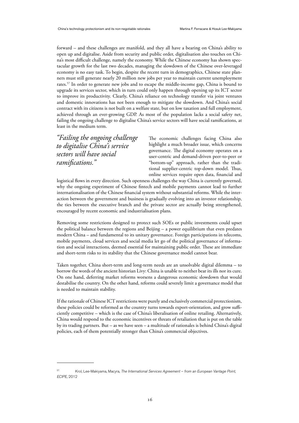forward – and these challenges are manifold, and they all have a bearing on China's ability to open up and digitalise. Aside from security and public order, digitalisation also touches on China's most difficult challenge, namely the economy. While the Chinese economy has shown spectacular growth for the last two decades, managing the slowdown of the Chinese over-leveraged economy is no easy task. To begin, despite the recent turn in demographics, Chinese state planners must still generate nearly 20 million new jobs per year to maintain current unemployment rates.<sup>57</sup> In order to generate new jobs and to escape the middle-income gap, China is bound to upgrade its services sector, which in turn could only happen through opening up its ICT sector to improve its productivity. Clearly, China's reliance on technology transfer via joint ventures and domestic innovations has not been enough to mitigate the slowdown. And China's social contract with its citizens is not built on a welfare state, but on low taxation and full employment, achieved through an ever-growing GDP. As most of the population lacks a social safety net, failing the ongoing challenge to digitalise China's service sectors will have social ramifications, at least in the medium term.

*"Failing the ongoing challenge to digitalise China's service sectors will have social ramifications."*

The economic challenges facing China also highlight a much broader issue, which concerns governance. The digital economy operates on a user-centric and demand-driven peer-to-peer or "bottom-up" approach, rather than the traditional supplier-centric top-down model. Thus, online services require open data, financial and

logistical flows in every direction. Such openness challenges the way China is currently governed, why the ongoing experiment of Chinese fintech and mobile payments cannot lead to further internationalisation of the Chinese financial system without substantial reforms. While the interaction between the government and business is gradually evolving into an investor relationship, the ties between the executive branch and the private sector are actually being strengthened, encouraged by recent economic and industrialisation plans.

Removing some restrictions designed to protect such SOEs or public investments could upset the political balance between the regions and Beijing – a power equilibrium that even predates modern China – and fundamental to its unitary governance. Foreign participations in telecoms, mobile payments, cloud services and social media let go of the political governance of information and social interactions, deemed essential for maintaining public order. These are immediate and short-term risks to its stability that the Chinese governance model cannot bear.

Taken together, China short-term and long-term needs are an unsolvable digital dilemma – to borrow the words of the ancient historian Livy: China is unable to neither bear its ills nor its cure. On one hand, deferring market reforms worsens a dangerous economic slowdown that would destabilise the country. On the other hand, reforms could severely limit a governance model that is needed to maintain stability.

If the rationale of Chinese ICT restrictions were purely and exclusively commercial protectionism, these policies could be reformed as the country turns towards export-orientation, and grow sufficiently competitive – which is the case of China's liberalisation of online retailing. Alternatively, China would respond to the economic incentives or threats of retaliation that is put on the table by its trading partners. But – as we have seen – a multitude of rationales is behind China's digital policies, each of them potentially stronger than China's commercial objectives.

<sup>57.</sup> . Krol, Lee-Makiyama, Macyra, The International Services Agreement – from an European Vantage Point, ECIPE, 2012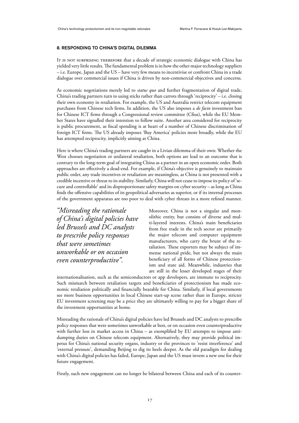# 8. RESPONDING TO CHINA'S DIGITAL DILEMMA

IT IS NOT SURPRISING THEREFORE that a decade of strategic economic dialogue with China has yielded very little results. The fundamental problem is in how the other major technology suppliers – i.e. Europe, Japan and the US – have very few means to incentivise or confront China in a trade dialogue over commercial issues if China is driven by non-commercial objectives and concerns.

As economic negotiations merely led to *status quo* and further fragmentation of digital trade, China's trading partners turn to using sticks rather than carrots through 'reciprocity' – i.e. closing their own economy in retaliation. For example, the US and Australia restrict telecom equipment purchases from Chinese tech firms. In addition, the US also imposes a *de facto* investment ban for Chinese ICT firms through a Congressional review committee (Cfius), while the EU Member States have signalled their intention to follow suite. Another area considered for reciprocity is public procurement, as fiscal spending is at heart of a number of Chinese discrimination of foreign ICT firms. The US already imposes 'Buy America' policies more broadly, while the EU has attempted reciprocity, implicitly aiming at China.

Here is where China's trading partners are caught in a Livian dilemma of their own: Whether the West chooses negotiation or unilateral retaliation, both options are lead to an outcome that is contrary to the long-term goal of integrating China as a partner in an open economic order. Both approaches are effectively a dead-end. For example, if China's objective is genuinely to maintain public order, any trade incentives or retaliation are meaningless, as China is not presented with a credible incentive or threat to its stability. Similarly, China will not cease to impose its policy of 'secure and controllable' and its disproportionate safety margins on cyber security – as long as China finds the offensive capabilities of its geopolitical adversaries as superior, or if its internal processes of the government apparatus are too poor to deal with cyber threats in a more refined manner.

*"Misreading the rationale of China's digital policies have led Brussels and DC analysts to prescribe policy responses that were sometimes unworkable or on occasion even counterproductive".*

Moreover, China is not a singular and monolithic entity, but consists of diverse and multi-layered interests. China's main beneficiaries from free trade in the tech sector are primarily the major telecom and computer equipment manufacturers, who carry the brunt of the retaliation. These exporters may be subject of immense national pride, but not always the main beneficiary of all forms of Chinese protectionism and state aid. Meanwhile, industries that are still in the lesser developed stages of their

internationalisation, such as the semiconductors or app developers, are immune to reciprocity. Such mismatch between retaliation targets and beneficiaries of protectionism has made economic retaliation politically and financially bearable for China. Similarly, if local governments see more business opportunities in local Chinese start-up scene rather than in Europe, stricter EU investment screening may be a price they are ultimately willing to pay for a bigger share of the investment opportunities at home.

Misreading the rationale of China's digital policies have led Brussels and DC analysts to prescribe policy responses that were sometimes unworkable at best, or on occasion even counterproductive with further loss in market access in China – as exemplified by EU attempts to impose antidumping duties on Chinese telecom equipment. Alternatively, they may provide political impetus for China's national security organs, industry or the provinces to 'resist interference' and 'external pressure', demanding Beijing to dig its heels deeper. As the old paradigm for dealing with China's digital policies has failed, Europe, Japan and the US must invent a new one for their future engagement.

Firstly, such new engagement can no longer be bilateral between China and each of its counter-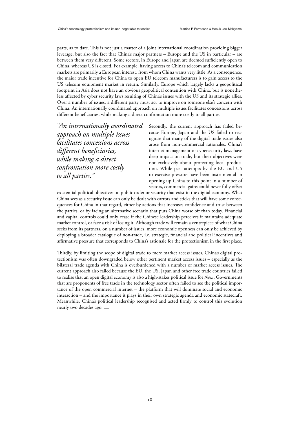parts, as to date. This is not just a matter of a joint international coordination providing bigger leverage, but also the fact that China's major partners – Europe and the US in particular – are between them very different. Some sectors, in Europe and Japan are deemed sufficiently open to China, whereas US is closed. For example, having access to China's telecom and communication markets are primarily a European interest, from whom China wants very little. As a consequence, the major trade incentive for China to open EU telecom manufacturers is to gain access to the US telecom equipment market in return. Similarly, Europe which largely lacks a geopolitical footprint in Asia does not have an obvious geopolitical contention with China, but is nonetheless affected by cyber security laws resulting of China's issues with the US and its strategic allies. Over a number of issues, a different party must act to improve on someone else's concern with China. An internationally coordinated approach on multiple issues facilitates concessions across different beneficiaries, while making a direct confrontation more costly to all parties.

*"An internationally coordinated approach on multiple issues facilitates concessions across different beneficiaries, while making a direct confrontation more costly to all parties."*

Secondly, the current approach has failed because Europe, Japan and the US failed to recognise that many of the digital trade issues also arose from non-commercial rationales. China's internet management or cybersecurity laws have deep impact on trade, but their objectives were not exclusively about protecting local production. While past attempts by the EU and US to exercise pressure have been instrumental in opening up China to this point in a number of sectors, commercial gains could never fully offset

existential political objectives on public order or security that exist in the digital economy. What China sees as a security issue can only be dealt with carrots and sticks that will have some consequences for China in that regard, either by actions that increases confidence and trust between the parties, or by facing an alternative scenario that puts China worse off than today. Financial and capital controls could only cease if the Chinese leadership perceives it maintains adequate market control, or face a risk of losing it. Although trade will remain a centrepiece of what China seeks from its partners, on a number of issues, more economic openness can only be achieved by deploying a broader catalogue of non-trade, i.e. strategic, financial and political incentives and affirmative pressure that corresponds to China's rationale for the protectionism in the first place.

Thirdly, by limiting the scope of digital trade to mere market access issues, China's digital protectionism was often downgraded below other pertinent market access issues – especially as the bilateral trade agenda with China is overburdened with a number of market access issues. The current approach also failed because the EU, the US, Japan and other free trade countries failed to realise that an open digital economy is also a high-stakes political issue for *them*. Governments that are proponents of free trade in the technology sector often failed to see the political importance of the open commercial internet – the platform that will dominate social and economic interaction – and the importance it plays in their own strategic agenda and economic statecraft. Meanwhile, China's political leadership recognised and acted firmly to control this evolution nearly two decades ago. **\_**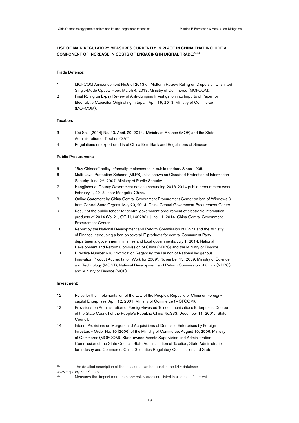# LIST OF MAIN REGULATORY MEASURES CURRENTLY IN PLACE IN CHINA THAT INCLUDE A COMPONENT OF INCREASE IN COSTS OF ENGAGING IN DIGITAL TRADE:58 59

#### Trade Defence:

- 1 MOFCOM Announcement No.9 of 2013 on Midterm Review Ruling on Dispersion Unshifted Single-Mode Optical Fiber. March 4, 2013. Ministry of Commerce (MOFCOM).
- 2 Final Ruling on Expiry Review of Anti-dumping Investigation into Imports of Paper for Electrolytic Capacitor Originating in Japan. April 19, 2013. Ministry of Commerce (MOFCOM).

# Taxation:

- 3 Cai Shui [2014] No. 43. April, 29, 2014. Ministry of Finance (MOF) and the State Administration of Taxation (SAT).
- 4 Regulations on export credits of China Exim Bank and Regulations of Sinosure.

### Public Procurement:

- 5 "Buy Chinese" policy informally implemented in public tenders. Since 1995.
- 6 Multi-Level Protection Scheme (MLPS), also known as Classified Protection of Information Security. June 22, 2007. Ministry of Public Security.
- 7 Hangjinhouqi County Government notice announcing 2013-2014 public procurement work. February 1, 2013. Inner Mongolia, China.
- 8 Online Statement by China Central Government Procurement Center on ban of Windows 8 from Central State Organs. May 20, 2014. China Central Government Procurement Center.
- 9 Result of the public tender for central government procurement of electronic information products of 2014 (Vol.21, GC-HJ140283). June 11, 2014. China Central Government Procurement Center.
- 10 Report by the National Development and Reform Commission of China and the Ministry of Finance introducing a ban on several IT products for central Communist Party departments, government ministries and local governments. July 1, 2014. National Development and Reform Commission of China (NDRC) and the Ministry of Finance.
- 11 Directive Number 618 "Notification Regarding the Launch of National Indigenous Innovation Product Accreditation Work for 2009". November 15, 2009. Ministry of Science and Technology (MOST), National Development and Reform Commission of China (NDRC) and Ministry of Finance (MOF).

#### Investment:

- 12 Rules for the Implementation of the Law of the People's Republic of China on Foreigncapital Enterprises. April 12, 2001. Ministry of Commerce (MOFCOM).
- 13 Provisions on Administration of Foreign-Invested Telecommunications Enterprises. Decree of the State Council of the People's Republic China No.333. December 11, 2001. State Council.
- 14 Interim Provisions on Mergers and Acquisitions of Domestic Enterprises by Foreign Investors - Order No. 10 [2006] of the Ministry of Commerce. August 10, 2006. Ministry of Commerce (MOFCOM), State-owned Assets Supervision and Administration Commission of the State Council, State Administration of Taxation, State Administration for Industry and Commerce, China Securities Regulatory Commission and State

<sup>58.</sup> The detailed description of the measures can be found in the DTE database www.ecipe.org/dte/database

Measures that impact more than one policy areas are listed in all areas of interest.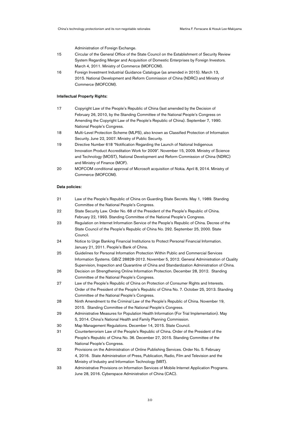Administration of Foreign Exchange.

- 15 Circular of the General Office of the State Council on the Establishment of Security Review System Regarding Merger and Acquisition of Domestic Enterprises by Foreign Investors. March 4, 2011. Ministry of Commerce (MOFCOM).
- 16 Foreign Investment Industrial Guidance Catalogue (as amended in 2015). March 13, 2015. National Development and Reform Commission of China (NDRC) and Ministry of Commerce (MOFCOM).

# Intellectual Property Rights:

- 17 Copyright Law of the People's Republic of China (last amended by the Decision of February 26, 2010, by the Standing Committee of the National People's Congress on Amending the Copyright Law of the People's Republic of China). September 7, 1990. National People's Congress.
- 18 Multi-Level Protection Scheme (MLPS), also known as Classified Protection of Information Security. June 22, 2007. Ministry of Public Security.
- 19 Directive Number 618 "Notification Regarding the Launch of National Indigenous Innovation Product Accreditation Work for 2009". November 15, 2009. Ministry of Science and Technology (MOST), National Development and Reform Commission of China (NDRC) and Ministry of Finance (MOF).
- 20 MOFCOM conditional approval of Microsoft acquisition of Nokia. April 8, 2014. Ministry of Commerce (MOFCOM).

#### Data policies:

- 21 Law of the People's Republic of China on Guarding State Secrets. May 1, 1989. Standing Committee of the National People's Congress.
- 22 State Security Law. Order No. 68 of the President of the People's Republic of China. February 22, 1993. Standing Committee of the National People's Congress.
- 23 Regulation on Internet Information Service of the People's Republic of China. Decree of the State Council of the People's Republic of China No. 292. September 25, 2000. State Council.
- 24 Notice to Urge Banking Financial Institutions to Protect Personal Financial Information. January 21, 2011. People's Bank of China.
- 25 Guidelines for Personal Information Protection Within Public and Commercial Services Information Systems. GB/Z 28828-2012. November 5, 2012. General Administration of Quality Supervision, Inspection and Quarantine of China and Standardization Administration of China.
- 26 Decision on Strengthening Online Information Protection. December 28, 2012. Standing Committee of the National People's Congress.
- 27 Law of the People's Republic of China on Protection of Consumer Rights and Interests. Order of the President of the People's Republic of China No. 7. October 25, 2013. Standing Committee of the National People's Congress.
- 28 Ninth Amendment to the Criminal Law of the People's Republic of China. November 19, 2015. Standing Committee of the National People's Congress.
- 29 Administrative Measures for Population Health Information (For Trial Implementation). May 5, 2014. China's National Health and Family Planning Commission.
- 30 Map Management Regulations. December 14, 2015. State Council.
- 31 Counterterrorism Law of the People's Republic of China. Order of the President of the People's Republic of China No. 36. December 27, 2015. Standing Committee of the National People's Congress.
- 32 Provisions on the Administration of Online Publishing Services. Order No. 5. February 4, 2016. State Administration of Press, Publication, Radio, Film and Television and the Ministry of Industry and Information Technology (MIIT).
- 33 Administrative Provisions on Information Services of Mobile Internet Application Programs. June 28, 2016. Cyberspace Administration of China (CAC).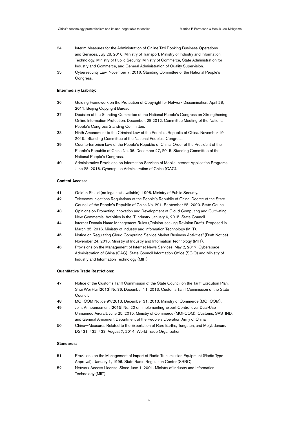- 34 Interim Measures for the Administration of Online Taxi Booking Business Operations and Services. July 28, 2016. Ministry of Transport, Ministry of Industry and Information Technology, Ministry of Public Security, Ministry of Commerce, State Administration for Industry and Commerce, and General Administration of Quality Supervision.
- 35 Cybersecurity Law. November 7, 2016. Standing Committee of the National People's Congress.

#### Intermediary Liability:

- 36 Guiding Framework on the Protection of Copyright for Network Dissemination. April 28, 2011. Beijing Copyright Bureau.
- 37 Decision of the Standing Committee of the National People's Congress on Strengthening Online Information Protection. December, 28 2012. Committee Meeting of the National People's Congress Standing Committee.
- 38 Ninth Amendment to the Criminal Law of the People's Republic of China. November 19, 2015. Standing Committee of the National People's Congress.
- 39 Counterterrorism Law of the People's Republic of China. Order of the President of the People's Republic of China No. 36. December 27, 2015. Standing Committee of the National People's Congress.
- 40 Administrative Provisions on Information Services of Mobile Internet Application Programs. June 28, 2016. Cyberspace Administration of China (CAC).

## Content Access:

- 41 Golden Shield (no legal text available). 1998. Ministry of Public Security.
- 42 Telecommunications Regulations of the People's Republic of China. Decree of the State Council of the People's Republic of China No. 291. September 25, 2000. State Council.
- 43 Opinions on Promoting Innovation and Development of Cloud Computing and Cultivating New Commercial Activities in the IT Industry. January 6, 2015. State Council.
- 44 Internet Domain Name Management Rules (Opinion-seeking Revision Draft). Proposed in March 25, 2016. Ministry of Industry and Information Technology (MIIT).
- 45 Notice on Regulating Cloud Computing Service Market Business Activities" (Draft Notice). November 24, 2016. Ministry of Industry and Information Technology (MIIT).
- 46 Provisions on the Management of Internet News Services. May 2, 2017. Cyberspace Administration of China (CAC), State Council Information Office (SCIO) and Ministry of Industry and Information Technology (MIIT).

#### Quantitative Trade Restrictions:

- 47 Notice of the Customs Tariff Commission of the State Council on the Tariff Execution Plan. Shui Wei Hui [2013] No.36. December 11, 2013. Customs Tariff Commission of the State Council.
- 48 MOFCOM Notice 97/2013. December 31, 2013. Ministry of Commerce (MOFCOM).
- 49 Joint Announcement [2015] No. 20 on Implementing Export Control over Dual-Use Unmanned Aircraft. June 25, 2015. Ministry of Commerce (MOFCOM), Customs, SASTIND, and General Armament Department of the People's Liberation Army of China.
- 50 China—Measures Related to the Exportation of Rare Earths, Tungsten, and Molybdenum. DS431, 432, 433. August 7, 2014. World Trade Organization.

#### Standards:

- 51 Provisions on the Management of Import of Radio Transmission Equipment (Radio Type Approval). January 1, 1996. State Radio Regulation Center (SRRC).
- 52 Network Access License. Since June 1, 2001. Ministry of Industry and Information Technology (MIIT).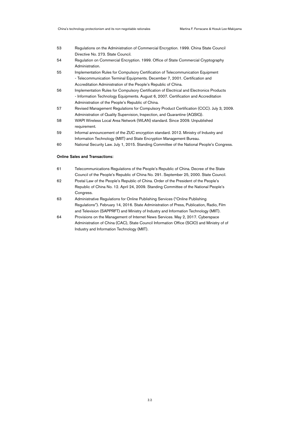- 53 Regulations on the Administration of Commercial Encryption. 1999. China State Council Directive No. 273. State Council.
- 54 Regulation on Commercial Encryption. 1999. Office of State Commercial Cryptography Administration.
- 55 Implementation Rules for Compulsory Certification of Telecommunication Equipment - Telecommunication Terminal Equipments. December 7, 2001. Certification and Accreditation Administration of the People's Republic of China.
- 56 Implementation Rules for Compulsory Certification of Electrical and Electronics Products - Information Technology Equipments. August 6, 2007. Certification and Accreditation Administration of the People's Republic of China.
- 57 Revised Management Regulations for Compulsory Product Certification (CCC). July 3, 2009. Administration of Quality Supervision, Inspection, and Quarantine (AQSIQ).
- 58 WAPI Wireless Local Area Network (WLAN) standard. Since 2009. Unpublished requirement.
- 59 Informal announcement of the ZUC encryption standard. 2012. Ministry of Industry and Information Technology (MIIT) and State Encryption Management Bureau.
- 60 National Security Law. July 1, 2015. Standing Committee of the National People's Congress.

### Online Sales and Transactions:

- 61 Telecommunications Regulations of the People's Republic of China. Decree of the State Council of the People's Republic of China No. 291. September 25, 2000. State Council.
- 62 Postal Law of the People's Republic of China. Order of the President of the People's Republic of China No. 12. April 24, 2009. Standing Committee of the National People's Congress.
- 63 Administrative Regulations for Online Publishing Services ("Online Publishing Regulations"). February 14, 2016. State Administration of Press, Publication, Radio, Film and Television (SAPPRFT) and Ministry of Industry and Information Technology (MIIT).
- 64 Provisions on the Management of Internet News Services. May 2, 2017. Cyberspace Administration of China (CAC), State Council Information Office (SCIO) and Ministry of of Industry and Information Technology (MIIT).